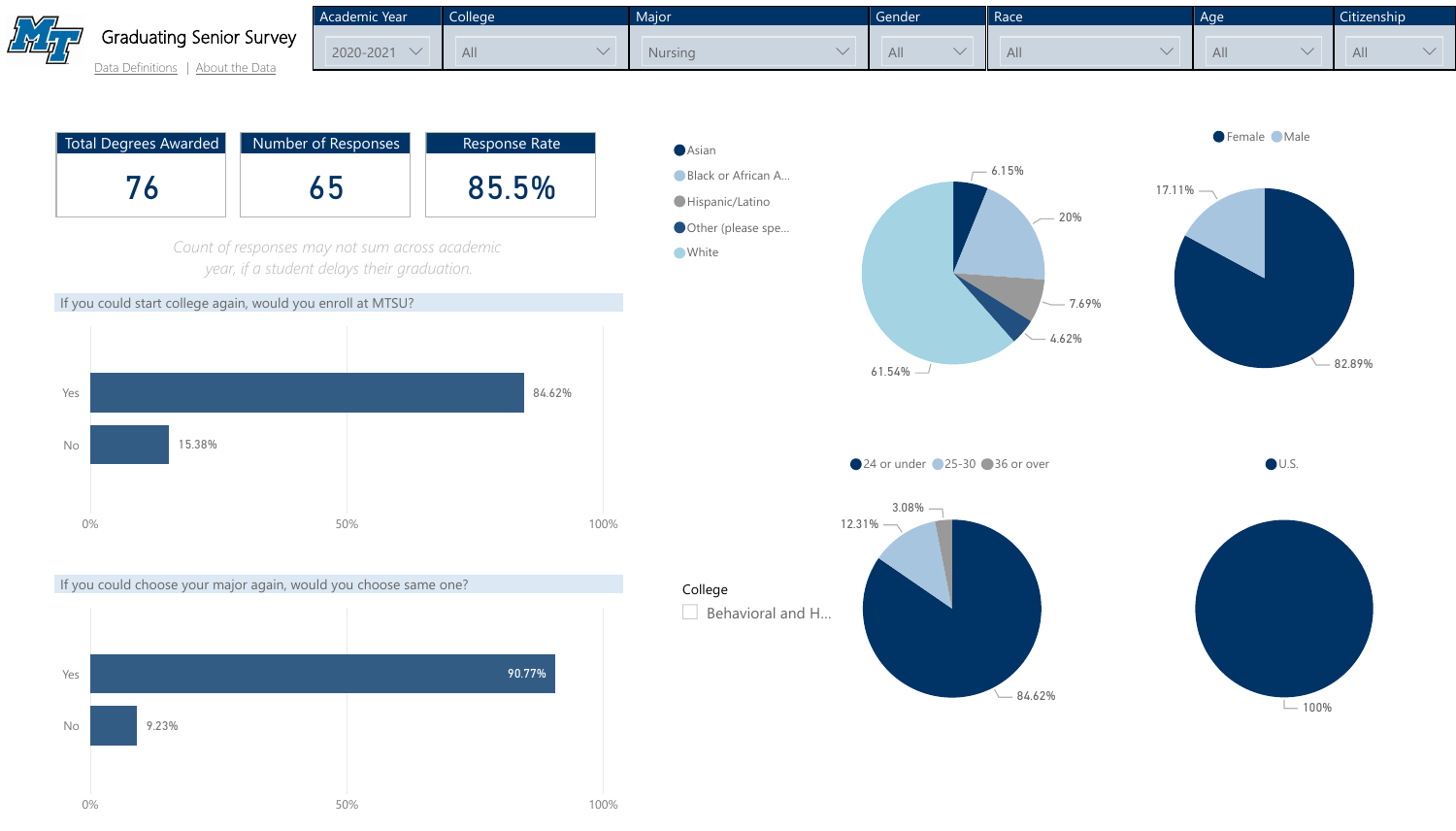



[Data Definitions](http://mtsu.edu/iepr/datadefinitions.php) | [About the Data](http://mtsu.edu/iepr/aboutdata.php)









| Academic Year | College | <b>Major</b> | Gender | Race | Age | Citiz        |
|---------------|---------|--------------|--------|------|-----|--------------|
| 2020-2021     | All     | Nursing      | All    | All  | All | $\mathsf{A}$ |

| Total Degrees Awarded | Number of Responses | <b>Response Rate</b> |
|-----------------------|---------------------|----------------------|
|                       |                     | 85.5%                |

*Count of responses may not sum across academic year, if a student delays their graduation.*

If you could start college again, would you enroll at MTSU?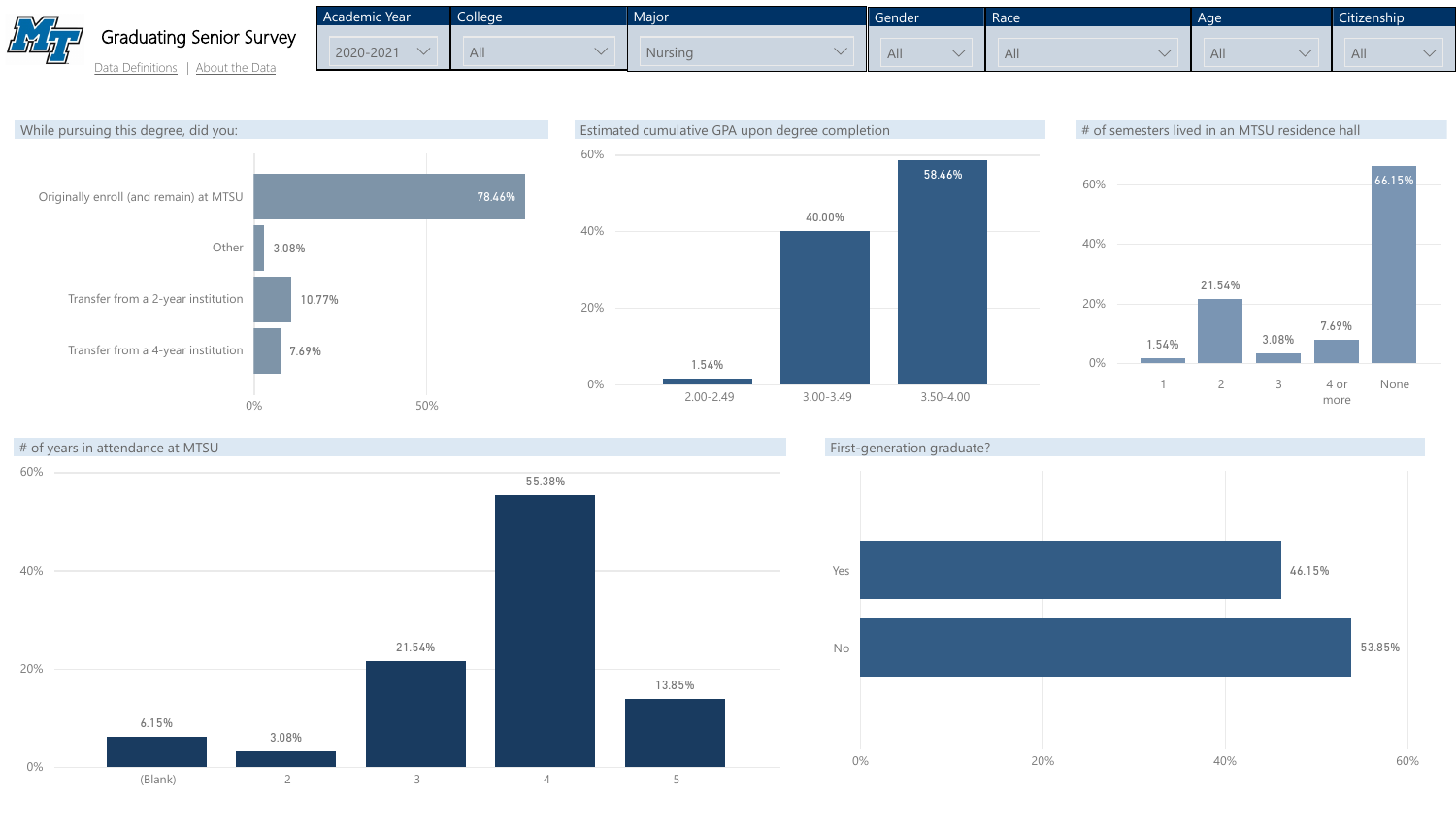

[Data Definitions](http://mtsu.edu/iepr/datadefinitions.php) | [About the Data](http://mtsu.edu/iepr/aboutdata.php)







| 53.85% |  |
|--------|--|

Academic Year  $2020 - 2021$   $\vee$ College All  $\vee$ Major Nursing

|                               | Gender | Race | Age | Citizenship |
|-------------------------------|--------|------|-----|-------------|
| All<br>All<br>All<br>All<br>Y |        |      |     |             |

### # of semesters lived in an MTSU residence hall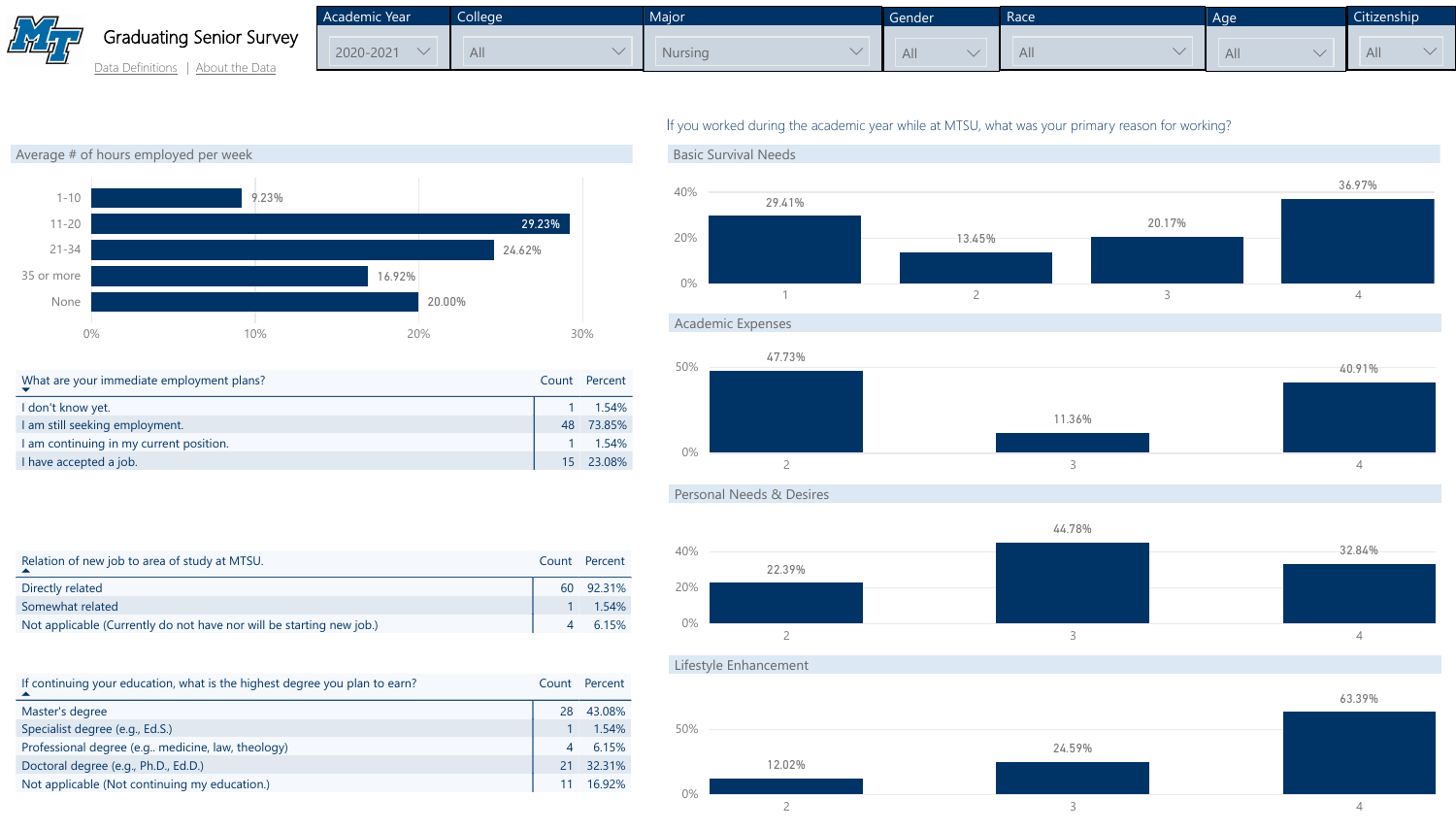

| Average # of hours employed per week                |                                                                            |        |        |                |           |
|-----------------------------------------------------|----------------------------------------------------------------------------|--------|--------|----------------|-----------|
|                                                     |                                                                            |        |        |                |           |
| $1 - 10$                                            | 9.23%                                                                      |        |        |                |           |
| $11 - 20$                                           |                                                                            |        |        | 29.23%         |           |
| $21 - 34$                                           |                                                                            |        | 24.62% |                |           |
| 35 or more                                          |                                                                            | 16.92% |        |                |           |
| None                                                |                                                                            |        | 20.00% |                |           |
| $0\%$                                               | 10%                                                                        | 20%    |        |                | 30%       |
|                                                     |                                                                            |        |        |                |           |
| What are your immediate employment plans?           |                                                                            |        |        | Count          | Percent   |
| I don't know yet.                                   |                                                                            |        |        | 1              | 1.54%     |
| I am still seeking employment.                      |                                                                            |        |        | 48             | 73.85%    |
| I am continuing in my current position.             |                                                                            |        |        |                | 1.54%     |
| I have accepted a job.                              |                                                                            |        |        |                | 15 23.08% |
| Relation of new job to area of study at MTSU.       |                                                                            |        |        | Count          | Percent   |
| Directly related                                    |                                                                            |        |        | 60             | 92.31%    |
| Somewhat related                                    |                                                                            |        |        |                | 1.54%     |
|                                                     | Not applicable (Currently do not have nor will be starting new job.)       |        |        | $\overline{4}$ | 6.15%     |
|                                                     |                                                                            |        |        |                |           |
|                                                     | If continuing your education, what is the highest degree you plan to earn? |        |        | Count          | Percent   |
| Master's degree                                     |                                                                            |        |        | 28             | 43.08%    |
| Specialist degree (e.g., Ed.S.)                     |                                                                            |        |        |                | 1.54%     |
| Professional degree (e.g., medicine, law, theology) |                                                                            |        |        | $\overline{4}$ | 6.15%     |
| Doctoral degree (e.g., Ph.D., Ed.D.)                |                                                                            |        |        | 21             | 32.31%    |
| Not applicable (Not continuing my education.)       |                                                                            |        |        | 11             | 16.92%    |

### If you worked during the academic year while at MTSU, what was your primary reason for working?



**Personal Needs & Desires** 



ifestyle Enhancement



| <b>Academic Year</b> | <b>College</b> | Major   | Gender | Race | Age |  |
|----------------------|----------------|---------|--------|------|-----|--|
| 2020-2021            | <b>All</b>     | Nursing | All    | All  | All |  |

|                | Citizenship |  |  |
|----------------|-------------|--|--|
|                | All         |  |  |
|                |             |  |  |
|                |             |  |  |
|                |             |  |  |
|                | 97%         |  |  |
|                |             |  |  |
|                |             |  |  |
| $\overline{4}$ |             |  |  |
|                |             |  |  |
|                | .91%        |  |  |
|                |             |  |  |
|                |             |  |  |
| $\overline{4}$ |             |  |  |
|                |             |  |  |
|                |             |  |  |
|                | .84%        |  |  |
|                |             |  |  |
| $\overline{4}$ |             |  |  |
|                |             |  |  |
|                | .39%        |  |  |
|                |             |  |  |
|                |             |  |  |
|                |             |  |  |
| $\overline{4}$ |             |  |  |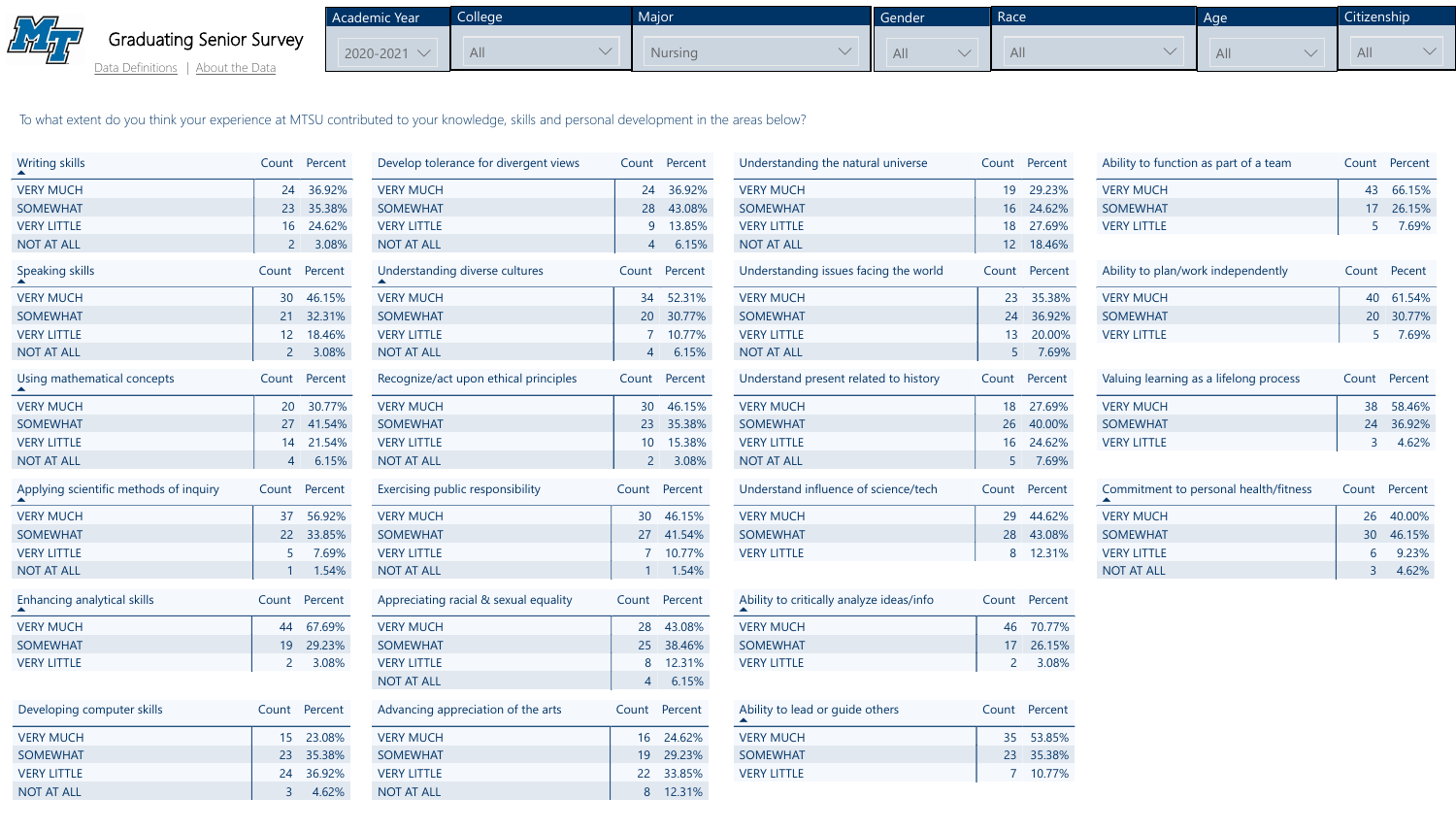Academic Year  $2020 - 2021$   $\vee$ **College** All  $\sim$ **Major** Nursin



To what extent do you think your experience at MTSU contributed to your knowledge, skills and personal development in the areas below?



| <b>Writing skills</b>                  | Count Percent    | Develop tolerance for divergent views | Count Percent | Understanding the natural universe       | Count Percent | Ability to function as part of a team  | Сc           |
|----------------------------------------|------------------|---------------------------------------|---------------|------------------------------------------|---------------|----------------------------------------|--------------|
| <b>VERY MUCH</b>                       | 24 36.92%        | <b>VERY MUCH</b>                      | 24 36.92%     | <b>VERY MUCH</b>                         | 19<br>29.23%  | <b>VERY MUCH</b>                       |              |
| <b>SOMEWHAT</b>                        | 23<br>35.38%     | <b>SOMEWHAT</b>                       | 28<br>43.08%  | <b>SOMEWHAT</b>                          | 16 24.62%     | <b>SOMEWHAT</b>                        |              |
| <b>VERY LITTLE</b>                     | 16 24.62%        | <b>VERY LITTLE</b>                    | 9 13.85%      | <b>VERY LITTLE</b>                       | 18<br>27.69%  | <b>VERY LITTLE</b>                     |              |
| <b>NOT AT ALL</b>                      | 3.08%            | <b>NOT AT ALL</b>                     | 4 6.15%       | <b>NOT AT ALL</b>                        | 12 18.46%     |                                        |              |
| <b>Speaking skills</b>                 | Percent<br>Count | Understanding diverse cultures        | Count Percent | Understanding issues facing the world    | Count Percent | Ability to plan/work independently     | C            |
| <b>VERY MUCH</b>                       | 46.15%<br>30     | <b>VERY MUCH</b>                      | 52.31%<br>34  | <b>VERY MUCH</b>                         | 23 35.38%     | <b>VERY MUCH</b>                       |              |
| <b>SOMEWHAT</b>                        | 32.31%<br>21     | <b>SOMEWHAT</b>                       | 20<br>30.77%  | <b>SOMEWHAT</b>                          | 24 36.92%     | <b>SOMEWHAT</b>                        |              |
| <b>VERY LITTLE</b>                     | 12 18.46%        | <b>VERY LITTLE</b>                    | 7 10.77%      | <b>VERY LITTLE</b>                       | 13 20.00%     | <b>VERY LITTLE</b>                     |              |
| <b>NOT AT ALL</b>                      | 2 3.08%          | NOT AT ALL                            | 4 6.15%       | <b>NOT AT ALL</b>                        | 5 7.69%       |                                        |              |
| Using mathematical concepts            | Count Percent    | Recognize/act upon ethical principles | Count Percent | Understand present related to history    | Count Percent | Valuing learning as a lifelong process | $\mathsf{C}$ |
| <b>VERY MUCH</b>                       | 20 30.77%        | <b>VERY MUCH</b>                      | 46.15%<br>30  | <b>VERY MUCH</b>                         | 27.69%<br>18  | <b>VERY MUCH</b>                       |              |
| <b>SOMEWHAT</b>                        | 27 41.54%        | <b>SOMEWHAT</b>                       | 35.38%<br>23  | <b>SOMEWHAT</b>                          | 26 40.00%     | <b>SOMEWHAT</b>                        |              |
| <b>VERY LITTLE</b>                     | 14 21.54%        | <b>VERY LITTLE</b>                    | 15.38%<br>10  | <b>VERY LITTLE</b>                       | 24.62%<br>16  | <b>VERY LITTLE</b>                     |              |
| <b>NOT AT ALL</b>                      | 6.15%            | <b>NOT AT ALL</b>                     | 2 3.08%       | <b>NOT AT ALL</b>                        | 5 7.69%       |                                        |              |
| Applying scientific methods of inquiry | Count Percent    | Exercising public responsibility      | Count Percent | Understand influence of science/tech     | Count Percent | Commitment to personal health/fitness  | <b>CC</b>    |
| <b>VERY MUCH</b>                       | 37 56.92%        | <b>VERY MUCH</b>                      | 30 46.15%     | <b>VERY MUCH</b>                         | 29 44.62%     | <b>VERY MUCH</b>                       |              |
| <b>SOMEWHAT</b>                        | 22 33.85%        | <b>SOMEWHAT</b>                       | 27 41.54%     | <b>SOMEWHAT</b>                          | 28 43.08%     | <b>SOMEWHAT</b>                        |              |
| <b>VERY LITTLE</b>                     | 5 7.69%          | <b>VERY LITTLE</b>                    | 10.77%        | <b>VERY LITTLE</b>                       | 8 12.31%      | <b>VERY LITTLE</b>                     |              |
| <b>NOT AT ALL</b>                      | $1.54\%$         | <b>NOT AT ALL</b>                     | $1.54\%$      |                                          |               | NOT AT ALL                             |              |
| Enhancing analytical skills            | Count Percent    | Appreciating racial & sexual equality | Count Percent | Ability to critically analyze ideas/info | Count Percent |                                        |              |
| <b>VERY MUCH</b>                       | 44 67.69%        | <b>VERY MUCH</b>                      | 28 43.08%     | <b>VERY MUCH</b>                         | 46 70.77%     |                                        |              |
| <b>SOMEWHAT</b>                        | 19 29.23%        | <b>SOMEWHAT</b>                       | 25 38.46%     | <b>SOMEWHAT</b>                          | 17 26.15%     |                                        |              |
| <b>VERY LITTLE</b>                     | 2 3.08%          | <b>VERY LITTLE</b>                    | 8 12.31%      | <b>VERY LITTLE</b>                       | 2 3.08%       |                                        |              |
|                                        |                  | <b>NOT AT ALL</b>                     | 6.15%         |                                          |               |                                        |              |
| Developing computer skills             | Count Percent    | Advancing appreciation of the arts    | Count Percent | Ability to lead or guide others          | Count Percent |                                        |              |
| <b>VERY MUCH</b>                       | 23.08%<br>15     | <b>VERY MUCH</b>                      | 16 24.62%     | <b>VERY MUCH</b>                         | 35 53.85%     |                                        |              |
| <b>SOMEWHAT</b>                        | 35.38%<br>23     | <b>SOMEWHAT</b>                       | 29.23%<br>19  | <b>SOMEWHAT</b>                          | 23 35.38%     |                                        |              |
| <b>VERY LITTLE</b>                     | 24<br>36.92%     | <b>VERY LITTLE</b>                    | 33.85%<br>22  | <b>VERY LITTLE</b>                       | 10.77%        |                                        |              |
| <b>NOT AT ALL</b>                      | 4.62%            | NOT AT ALL                            | 12.31%<br>8   |                                          |               |                                        |              |







|                                | Gender | Race | Age | Citi:                   |
|--------------------------------|--------|------|-----|-------------------------|
| ng<br>$\overline{\phantom{0}}$ | All    | All  | AII | $\overline{\mathsf{A}}$ |

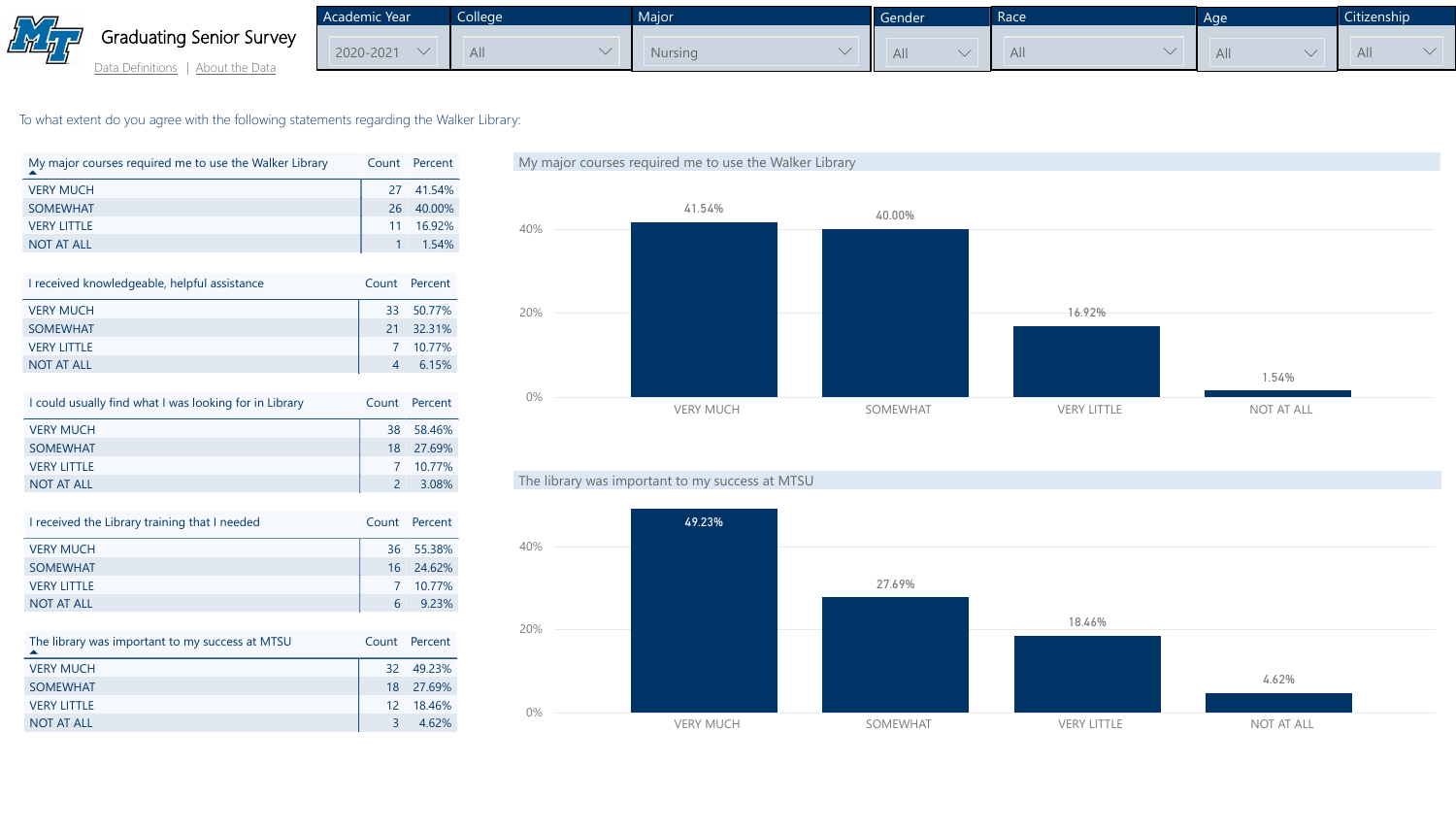

To what extent do you agree with the following statements regarding the Walker Library:

| My major courses required me to use the Walker Library |    | Count Percent    |
|--------------------------------------------------------|----|------------------|
| <b>VERY MUCH</b>                                       |    | 27 41.54%        |
| <b>SOMEWHAT</b>                                        | 26 | 40.00%           |
| <b>VERY LITTLE</b>                                     | 11 | 16.92%           |
| <b>NOT AT ALL</b>                                      |    | $1 \quad 1.54\%$ |
|                                                        |    |                  |

| I received knowledgeable, helpful assistance | Count Percent |
|----------------------------------------------|---------------|
| <b>VERY MUCH</b>                             | 33 50.77%     |
| <b>SOMEWHAT</b>                              | 21 32.31%     |
| <b>VERY LITTLE</b>                           | 7 10.77%      |
| <b>NOT AT ALL</b>                            | 6.15%         |

| I could usually find what I was looking for in Library | Count Percent |
|--------------------------------------------------------|---------------|
| <b>VERY MUCH</b>                                       | 38 58.46%     |
| <b>SOMEWHAT</b>                                        | 18 27.69%     |
| <b>VERY LITTLE</b>                                     | 7 10.77%      |
| <b>NOT AT ALL</b>                                      | 3.08%         |

Academic Year 2020-2021  $\vee$ **College** All  $\vee$ Major **Nursing** 

[Data Definitions](http://mtsu.edu/iepr/datadefinitions.php) | [About the Data](http://mtsu.edu/iepr/aboutdata.php)

| I received the Library training that I needed |   | Count Percent |
|-----------------------------------------------|---|---------------|
| <b>VERY MUCH</b>                              |   | 36 55.38%     |
| <b>SOMEWHAT</b>                               |   | 16 24.62%     |
| <b>VERY LITTLE</b>                            |   | 7 10.77%      |
| <b>NOT AT ALL</b>                             | 6 | 923%          |

| The library was important to my success at MTSU |    | Count Percent |
|-------------------------------------------------|----|---------------|
| <b>VERY MUCH</b>                                |    | 32 49.23%     |
| <b>SOMEWHAT</b>                                 |    | 18 27.69%     |
| <b>VERY LITTLE</b>                              |    | 12 18.46%     |
| <b>NOT AT ALL</b>                               | R. | 462%          |



### The library was important to my success at MTSU



|                                | Gender | Race | Age | Citi:          |
|--------------------------------|--------|------|-----|----------------|
| ng<br>$\overline{\phantom{a}}$ | All    | All  | All | $\overline{A}$ |

| Citizenship |  |  |
|-------------|--|--|
| All         |  |  |
|             |  |  |
|             |  |  |
|             |  |  |
|             |  |  |
|             |  |  |
|             |  |  |
|             |  |  |
|             |  |  |
|             |  |  |
|             |  |  |
|             |  |  |
|             |  |  |
|             |  |  |
|             |  |  |
|             |  |  |
|             |  |  |
|             |  |  |
|             |  |  |
|             |  |  |
|             |  |  |
|             |  |  |
|             |  |  |
|             |  |  |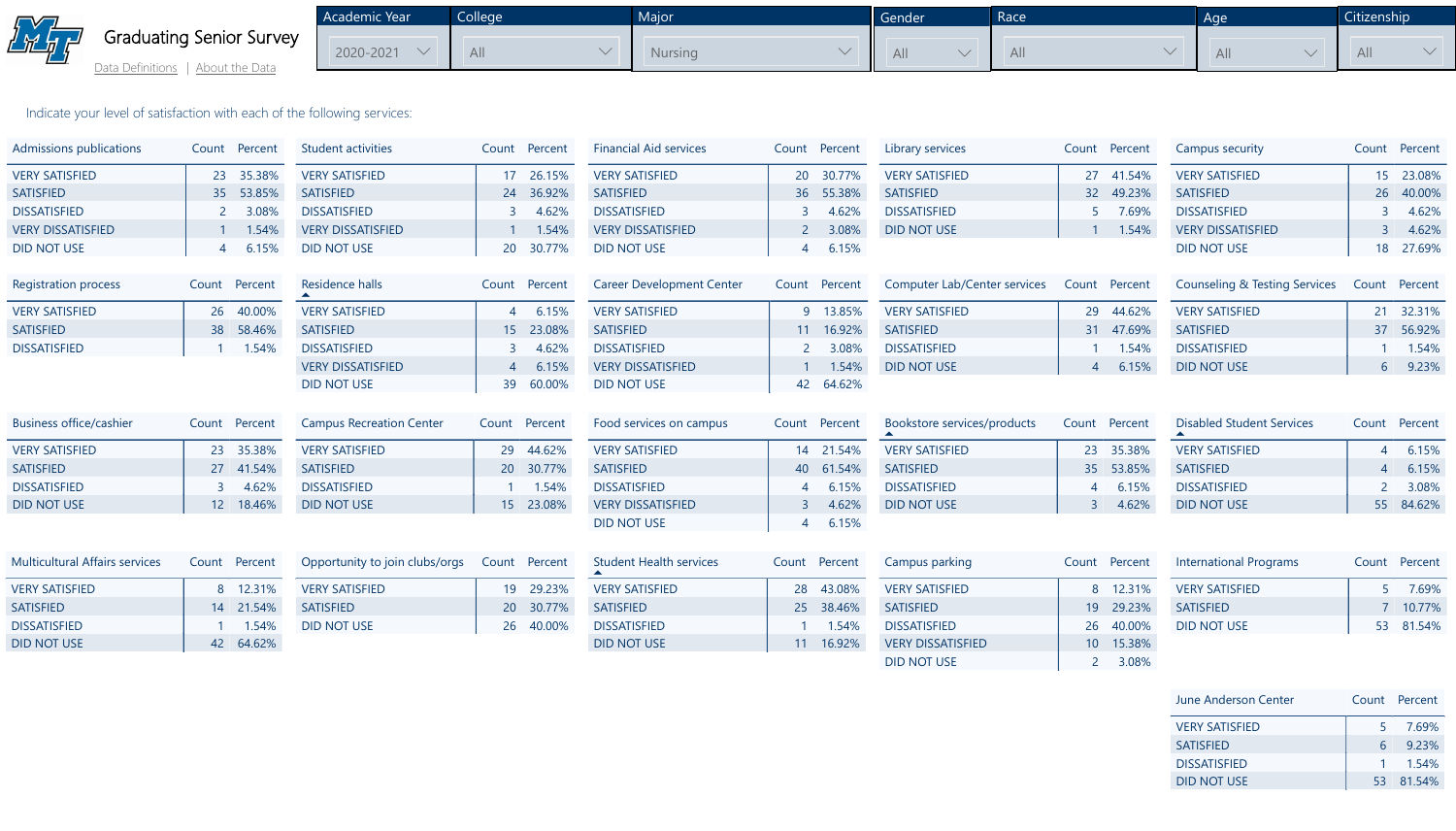

Indicate your level of satisfaction with each of the following services:

| <b>June Anderson Center</b> |  |
|-----------------------------|--|
| <b>VERY SATISFIED</b>       |  |
| <b>SATISFIED</b>            |  |
| <b>DISSATISFIED</b>         |  |
| <b>DID NOT USE</b>          |  |





| <b>VERY SATISFIED</b> | 8 12.31%         |
|-----------------------|------------------|
| <b>SATISFIED</b>      | 14 21.54%        |
| <b>DISSATISFIED</b>   | $1 \quad 1.54\%$ |
| DID NOT USE           | 42 64.62%        |

| <b>Admissions publications</b>        | Count Percent             | <b>Student activities</b>       | Count Percent           | <b>Financial Aid services</b>    | Count Percent    | Library services                    | Count         | Percent   | <b>Campus security</b>                       | C              |
|---------------------------------------|---------------------------|---------------------------------|-------------------------|----------------------------------|------------------|-------------------------------------|---------------|-----------|----------------------------------------------|----------------|
| <b>VERY SATISFIED</b>                 | 35.38%<br>23              | <b>VERY SATISFIED</b>           | 26.15%<br>17            | <b>VERY SATISFIED</b>            | 30.77%<br>20     | <b>VERY SATISFIED</b>               |               | 27 41.54% | <b>VERY SATISFIED</b>                        |                |
| <b>SATISFIED</b>                      | 53.85%<br>35              | <b>SATISFIED</b>                | 36.92%<br>24            | <b>SATISFIED</b>                 | 36 55.38%        | <b>SATISFIED</b>                    |               | 32 49.23% | <b>SATISFIED</b>                             |                |
| <b>DISSATISFIED</b>                   | 3.08%                     | <b>DISSATISFIED</b>             | 4.62%                   | <b>DISSATISFIED</b>              | 4.62%            | <b>DISSATISFIED</b>                 |               | 7.69%     | <b>DISSATISFIED</b>                          |                |
| <b>VERY DISSATISFIED</b>              | 1.54%                     | <b>VERY DISSATISFIED</b>        | 1.54%                   | <b>VERY DISSATISFIED</b>         | 2 3.08%          | <b>DID NOT USE</b>                  |               | 1.54%     | <b>VERY DISSATISFIED</b>                     |                |
| <b>DID NOT USE</b>                    | 6.15%                     | <b>DID NOT USE</b>              | 30.77%<br>20            | <b>DID NOT USE</b>               | 6.15%            |                                     |               |           | <b>DID NOT USE</b>                           |                |
|                                       |                           |                                 |                         |                                  |                  |                                     |               |           |                                              |                |
| <b>Registration process</b>           | Count Percent             | Residence halls                 | Count Percent           | <b>Career Development Center</b> | Count<br>Percent | <b>Computer Lab/Center services</b> | Count Percent |           | <b>Counseling &amp; Testing Services Co.</b> |                |
| <b>VERY SATISFIED</b>                 | 40.00%<br>26              | <b>VERY SATISFIED</b>           | 6.15%                   | <b>VERY SATISFIED</b>            | 9 13.85%         | <b>VERY SATISFIED</b>               | 29            | 44.62%    | <b>VERY SATISFIED</b>                        |                |
| <b>SATISFIED</b>                      | 58.46%<br>38              | <b>SATISFIED</b>                | 23.08%<br>15            | <b>SATISFIED</b>                 | 11 16.92%        | <b>SATISFIED</b>                    | 31            | 47.69%    | <b>SATISFIED</b>                             |                |
| <b>DISSATISFIED</b>                   | 1.54%                     | <b>DISSATISFIED</b>             | 4.62%                   | <b>DISSATISFIED</b>              | 3.08%            | <b>DISSATISFIED</b>                 |               | $1.54\%$  | <b>DISSATISFIED</b>                          |                |
|                                       |                           | <b>VERY DISSATISFIED</b>        | 6.15%<br>$\overline{4}$ | <b>VERY DISSATISFIED</b>         | 1.54%            | <b>DID NOT USE</b>                  |               | 6.15%     | <b>DID NOT USE</b>                           |                |
|                                       |                           | <b>DID NOT USE</b>              | 39<br>60.00%            | <b>DID NOT USE</b>               | 64.62%<br>42     |                                     |               |           |                                              |                |
| <b>Business office/cashier</b>        | Percent<br>Count          | <b>Campus Recreation Center</b> | Count Percent           | Food services on campus          | Count Percent    | Bookstore services/products         | Count Percent |           | <b>Disabled Student Services</b>             | C <sub>C</sub> |
| <b>VERY SATISFIED</b>                 | 35.38%<br>23              | <b>VERY SATISFIED</b>           | 44.62%<br>29            | <b>VERY SATISFIED</b>            | 14 21.54%        | <b>VERY SATISFIED</b>               | 23            | 35.38%    | <b>VERY SATISFIED</b>                        |                |
| <b>SATISFIED</b>                      | 41.54%                    | <b>SATISFIED</b>                | 30.77%<br>20            | <b>SATISFIED</b>                 | 61.54%<br>40     | <b>SATISFIED</b>                    | 35            | 53.85%    | <b>SATISFIED</b>                             |                |
| <b>DISSATISFIED</b>                   | 4.62%                     | <b>DISSATISFIED</b>             | $1.54\%$                | <b>DISSATISFIED</b>              | 4 6.15%          | <b>DISSATISFIED</b>                 |               | 4 6.15%   | <b>DISSATISFIED</b>                          |                |
| DID NOT USE                           | 18.46%<br>12 <sup>°</sup> | <b>DID NOT USE</b>              | 15 23.08%               | <b>VERY DISSATISFIED</b>         | 4.62%<br>3       | DID NOT USE                         |               | 4.62%     | <b>DID NOT USE</b>                           |                |
|                                       |                           |                                 |                         | <b>DID NOT USE</b>               | 6.15%<br>4       |                                     |               |           |                                              |                |
|                                       |                           |                                 |                         |                                  |                  |                                     |               |           |                                              |                |
| <b>Multicultural Affairs services</b> | Count Percent             | Opportunity to join clubs/orgs  | Count Percent           | <b>Student Health services</b>   | Count Percent    | Campus parking                      | Count Percent |           | <b>International Programs</b>                | C <sub>C</sub> |
| <b>VERY SATISFIED</b>                 | 8 12.31%                  | <b>VERY SATISFIED</b>           | 29.23%<br>19            | <b>VERY SATISFIED</b>            | 28 43.08%        | <b>VERY SATISFIED</b>               |               | 8 12.31%  | <b>VERY SATISFIED</b>                        |                |

| Opportunity to join clubs/orgs  Count  Percent |           | <b>Student Health</b> |
|------------------------------------------------|-----------|-----------------------|
| <b>VERY SATISFIED</b>                          | 19 29.23% | <b>VERY SATISFIEI</b> |
| <b>SATISFIED</b>                               | 20 30.77% | <b>SATISFIED</b>      |
| <b>DID NOT USE</b>                             | 26 40.00% | <b>DISSATISFIED</b>   |
|                                                |           | <b>DID NOT USE</b>    |

| ervices |    | Count Percent |
|---------|----|---------------|
|         |    | 28 43.08%     |
|         | 25 | 38.46%        |
|         |    | 1 1.54%       |
|         |    | 11 16.92%     |
|         |    |               |



| <b>International Programs</b> |  |
|-------------------------------|--|
| <b>VERY SATISFIED</b>         |  |
| <b>SATISFIED</b>              |  |
| <b>DID NOT USE</b>            |  |
|                               |  |

| Campus parking           |    | Count Percent | Int             |
|--------------------------|----|---------------|-----------------|
| <b>VERY SATISFIED</b>    |    | 8 12.31%      | VEI             |
| <b>SATISFIED</b>         |    | 19 29.23%     | SA <sub>1</sub> |
| <b>DISSATISFIED</b>      |    | 26 40.00%     | <b>DID</b>      |
| <b>VERY DISSATISFIED</b> | 10 | 15.38%        |                 |
| <b>DID NOT USE</b>       |    | 3.08%         |                 |





 $\vert$ 

18 27.69%

| <b>Academic Year</b> | College | Major   | Gender | Race | Age | Citizenship |
|----------------------|---------|---------|--------|------|-----|-------------|
| 2020-2021            | All     | Nursing | All    | All  | All | All         |

[Data Definitions](http://mtsu.edu/iepr/datadefinitions.php) | [About the Data](http://mtsu.edu/iepr/aboutdata.php)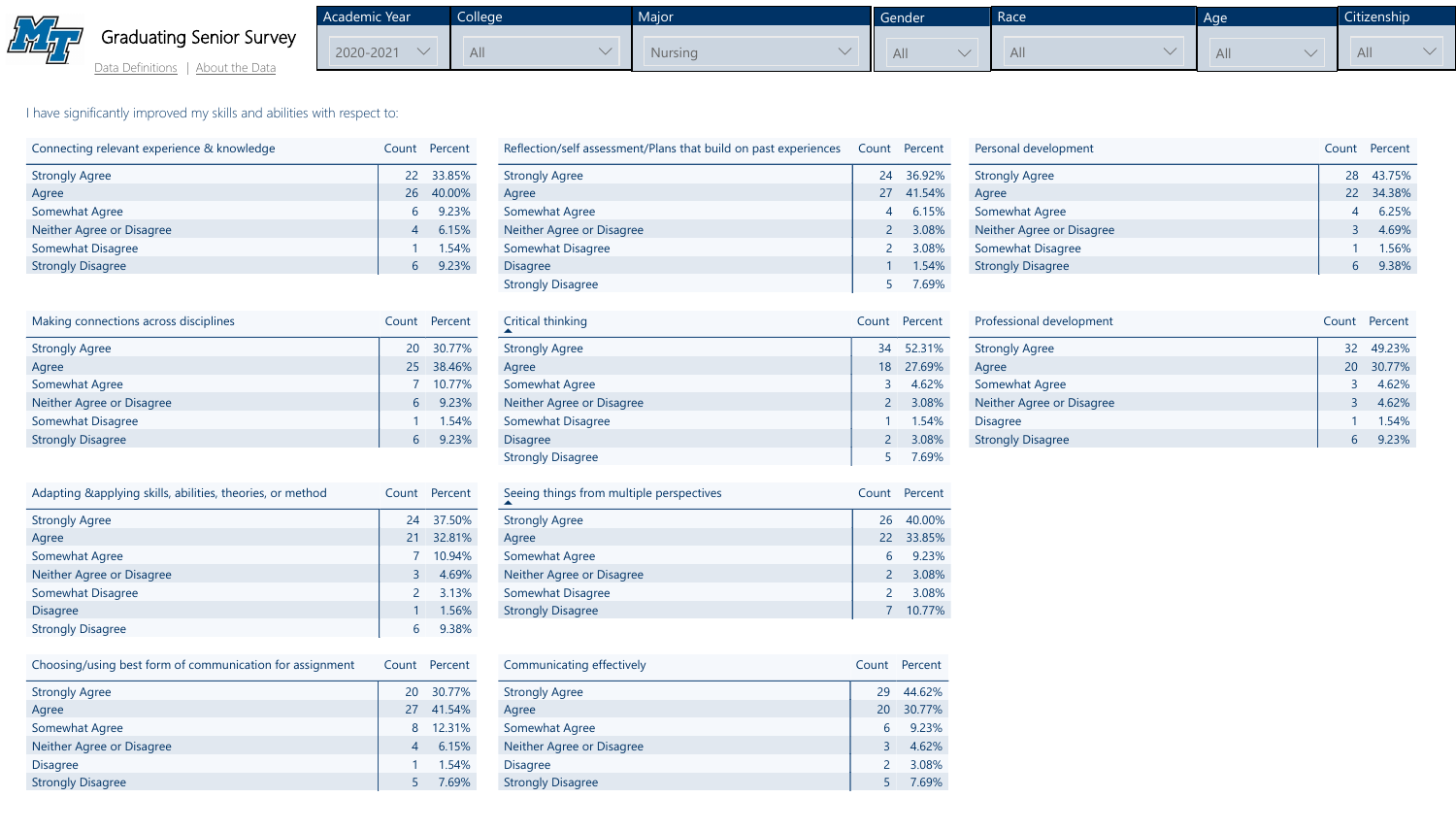

[Data Definitions](http://mtsu.edu/iepr/datadefinitions.php) | [About the Data](http://mtsu.edu/iepr/aboutdata.php)

Academic Year  $2020 - 2021$   $\vee$ College All  $\vee$ **Major Nursing** 

I have significantly improved my skills and abilities with respect to:

| Connecting relevant experience & knowledge |                | Count Percent |
|--------------------------------------------|----------------|---------------|
| <b>Strongly Agree</b>                      |                | 22 33.85%     |
| Agree                                      | 26             | 40.00%        |
| <b>Somewhat Agree</b>                      | 6              | 9.23%         |
| Neither Agree or Disagree                  | $\overline{4}$ | 6.15%         |
| <b>Somewhat Disagree</b>                   |                | 1.54%         |
| <b>Strongly Disagree</b>                   | 6              | 9.23%         |
|                                            |                |               |

| Making connections across disciplines |           | Count Percent |
|---------------------------------------|-----------|---------------|
| <b>Strongly Agree</b>                 | <b>20</b> | 30.77%        |
| Agree                                 | 25        | 38.46%        |
| <b>Somewhat Agree</b>                 |           | 10.77%        |
| Neither Agree or Disagree             | 6         | 9.23%         |
| <b>Somewhat Disagree</b>              |           | 1.54%         |
| <b>Strongly Disagree</b>              | 6         | 9.23%         |

| Adapting & applying skills, abilities, theories, or method | Count          | Percent |
|------------------------------------------------------------|----------------|---------|
| <b>Strongly Agree</b>                                      | 24             | 37.50%  |
| Agree                                                      | 21             | 32.81%  |
| <b>Somewhat Agree</b>                                      |                | 10.94%  |
| Neither Agree or Disagree                                  | $\overline{3}$ | 4.69%   |
| <b>Somewhat Disagree</b>                                   | 2              | 3.13%   |
| <b>Disagree</b>                                            |                | 1.56%   |
| <b>Strongly Disagree</b>                                   | 6              | 9.38%   |

Percent 43.75% 34.38% 6.25% 4.69% 1.56% 9.38%

| Choosing/using best form of communication for assignment | Count          | Percent |
|----------------------------------------------------------|----------------|---------|
| <b>Strongly Agree</b>                                    | 20             | 30.77%  |
| Agree                                                    | 27             | 41.54%  |
| <b>Somewhat Agree</b>                                    | 8              | 12.31%  |
| Neither Agree or Disagree                                | $\overline{4}$ | 6.15%   |
| <b>Disagree</b>                                          |                | 1.54%   |
| <b>Strongly Disagree</b>                                 |                | 7.69%   |

| Reflection/self assessment/Plans that build on past experiences |                | Count Percent |
|-----------------------------------------------------------------|----------------|---------------|
| <b>Strongly Agree</b>                                           | 24             | 36.92%        |
| Agree                                                           | 27             | 41.54%        |
| <b>Somewhat Agree</b>                                           | $\overline{4}$ | 6.15%         |
| <b>Neither Agree or Disagree</b>                                | $\overline{2}$ | 3.08%         |
| <b>Somewhat Disagree</b>                                        | 2              | 3.08%         |
| <b>Disagree</b>                                                 |                | 1.54%         |
| <b>Strongly Disagree</b>                                        |                | 7.69%         |

| Reflection/self assessment/Plans |
|----------------------------------|
| <b>Strongly Agree</b>            |
| Agree                            |
| <b>Somewhat Agree</b>            |
| <b>Neither Agree or Disagree</b> |
| Somewhat Disagree                |
| <b>Disagree</b>                  |
| <b>Strongly Disagree</b>         |
|                                  |
| Critical thinking                |
| <b>Strongly Agree</b>            |
| Agree                            |
|                                  |

| Personal development      | Count       |
|---------------------------|-------------|
| <b>Strongly Agree</b>     | 28          |
| Agree                     | 22          |
| <b>Somewhat Agree</b>     |             |
| Neither Agree or Disagree | $\mathsf R$ |
| <b>Somewhat Disagree</b>  |             |
| <b>Strongly Disagree</b>  |             |

| Strongly Agree            |  |
|---------------------------|--|
| Agree                     |  |
| <b>Somewhat Agree</b>     |  |
| Neither Agree or Disagree |  |
| Somewhat Disagree         |  |
| <b>Disagree</b>           |  |
| <b>Strongly Disagree</b>  |  |
|                           |  |

|                | Count Percent |
|----------------|---------------|
| 34             | 52.31%        |
| 18             | 27.69%        |
| 3              | 4.62%         |
| $\overline{2}$ | 3.08%         |
| $\mathbf{1}$   | 1.54%         |
| $\overline{2}$ | 3.08%         |
| 5              | 7.69%         |

| Professional development  | Count |
|---------------------------|-------|
| <b>Strongly Agree</b>     | 32    |
| Agree                     | 20    |
| <b>Somewhat Agree</b>     |       |
| Neither Agree or Disagree |       |
| <b>Disagree</b>           |       |
| <b>Strongly Disagree</b>  |       |



| Seeing things from multiple perspectives |               | Count Percent |
|------------------------------------------|---------------|---------------|
| <b>Strongly Agree</b>                    | 26            | 40.00%        |
| Agree                                    | 22            | 33.85%        |
| <b>Somewhat Agree</b>                    | 6             | 9.23%         |
| Neither Agree or Disagree                | $\mathcal{P}$ | 3.08%         |
| <b>Somewhat Disagree</b>                 | $\mathcal{P}$ | 3.08%         |
| <b>Strongly Disagree</b>                 |               | 10.77%        |

| Communicating effectively |
|---------------------------|
|                           |
| <b>Strongly Agree</b>     |
| Agree                     |
| <b>Somewhat Agree</b>     |
| Neither Agree or Disagree |
| <b>Disagree</b>           |
| <b>Strongly Disagree</b>  |

| Communicating effectively        |                | Count Percent |
|----------------------------------|----------------|---------------|
| <b>Strongly Agree</b>            | 29             | 44.62%        |
| Agree                            | <b>20</b>      | 30.77%        |
| Somewhat Agree                   | 6              | 9.23%         |
| <b>Neither Agree or Disagree</b> | 3              | 4.62%         |
| <b>Disagree</b>                  | $\overline{2}$ | 3.08%         |
| <b>Strongly Disagree</b>         |                | 7.69%         |

|    | Gender | Race | Age       | <b>Citizenship</b> |
|----|--------|------|-----------|--------------------|
| ng | All    | All  | <b>AL</b> | All                |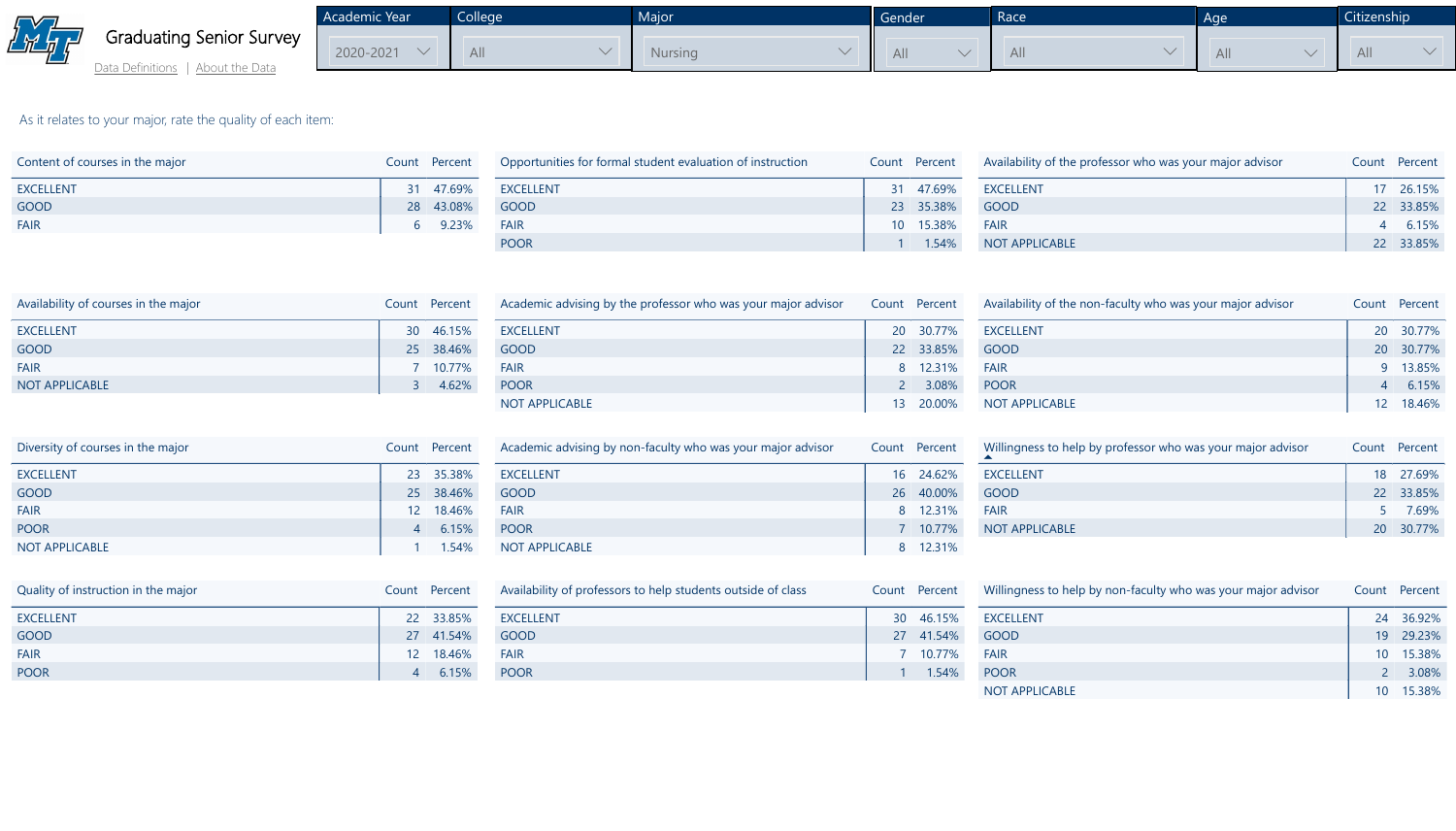

[Data Definitions](http://mtsu.edu/iepr/datadefinitions.php) | [About the Data](http://mtsu.edu/iepr/aboutdata.php)

As it relates to your major, rate the quality of each item:

| Content of courses in the major |   | Count Percent |  |
|---------------------------------|---|---------------|--|
| <b>EXCELLENT</b>                |   | 31 47.69%     |  |
| <b>GOOD</b>                     |   | 28 43.08%     |  |
| <b>FAIR</b>                     | 6 | 9.23%         |  |
|                                 |   |               |  |

| Opportunities for formal student evaluation of instruction |    | Count Percent | Availability of the professor who was your major advisor |  |
|------------------------------------------------------------|----|---------------|----------------------------------------------------------|--|
| <b>EXCELLENT</b>                                           | 31 | 47.69%        | <b>EXCELLENT</b>                                         |  |
| <b>GOOD</b>                                                |    | 23 35.38%     | GOOD                                                     |  |
| <b>FAIR</b>                                                |    | 10 15.38%     | <b>FAIR</b>                                              |  |
| <b>POOR</b>                                                |    | 1.54%         | NOT APPLICABLE                                           |  |



| Availability of courses in the major |              | Count Percent | $\overline{A}$ |
|--------------------------------------|--------------|---------------|----------------|
| <b>EXCELLENT</b>                     |              | 30 46.15%     | E              |
| <b>GOOD</b>                          |              | 25 38.46%     | G              |
| <b>FAIR</b>                          |              | 7 10.77%      | E              |
| <b>NOT APPLICABLE</b>                | $\mathbf{3}$ | 4.62%         | P              |
|                                      |              |               |                |

| Academic advising by the professor who was your major advisor | Count Percent | Availability of the non-faculty who was your major advisor | C |
|---------------------------------------------------------------|---------------|------------------------------------------------------------|---|
| <b>EXCELLENT</b>                                              | 20 30.77%     | <b>EXCELLENT</b>                                           |   |
| <b>GOOD</b>                                                   | 22 33.85%     | <b>GOOD</b>                                                |   |
| <b>FAIR</b>                                                   | 8 12.31%      | <b>FAIR</b>                                                |   |
| <b>POOR</b>                                                   | 3.08%         | <b>POOR</b>                                                |   |
| <b>NOT APPLICABLE</b>                                         | 13 20.00%     | <b>NOT APPLICABLE</b>                                      |   |

Academic Year  $2020 - 2021$   $\vee$ **College** All  $\vee$ **Major** Nursin



| Diversity of courses in the major | Count Percent | Academic advising by non-faculty who was your major advisor | Count Percent | Willingness to help by professor who was your major advisor | <b>C</b> |
|-----------------------------------|---------------|-------------------------------------------------------------|---------------|-------------------------------------------------------------|----------|
| <b>EXCELLENT</b>                  | 23 35.38%     | <b>EXCELLENT</b>                                            | 16 24.62%     | <b>EXCELLENT</b>                                            |          |
| GOOD                              | 25 38.46%     | GOOD                                                        | 26 40.00%     | GOOD                                                        |          |
| <b>FAIR</b>                       | 12 18.46%     | <b>FAIR</b>                                                 | 8 12.31%      | <b>FAIR</b>                                                 |          |
| <b>POOR</b>                       | 6.15%         | POOR                                                        | 10.77%        | NOT APPLICABLE                                              |          |
| NOT APPLICABLE                    | $1.54\%$      | NOT APPLICABLE                                              | 8 12.31%      |                                                             |          |



| Quality of instruction in the major | Count Percent | Availability of professors to help students outside of class | Count Percent       | Willingness to help by non-faculty who was your major advisor |  |
|-------------------------------------|---------------|--------------------------------------------------------------|---------------------|---------------------------------------------------------------|--|
| <b>EXCELLENT</b>                    | 22 33.85%     | EXCELLENT                                                    | 30 46.15% EXCELLENT |                                                               |  |
| <b>GOOD</b>                         | 27 41.54%     | GOOD                                                         | 27 41.54% GOOD      |                                                               |  |
| <b>FAIR</b>                         | 12 18.46%     | <b>FAIR</b>                                                  | $10.77\%$           | <b>FAIR</b>                                                   |  |
| <b>POOR</b>                         | 6.15%         | POOR                                                         | 1.54%               | POOR                                                          |  |
|                                     |               |                                                              |                     | <b>NOT APPLICABLE</b>                                         |  |



|                                | Gender | Race | Age | <b>Citi:</b>   |
|--------------------------------|--------|------|-----|----------------|
| ng<br>$\overline{\phantom{0}}$ | All    | All  | All | $\overline{A}$ |